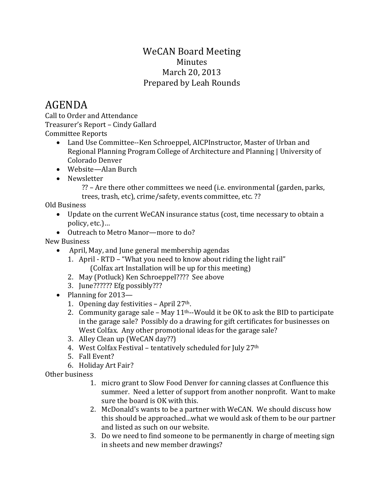## WeCAN Board Meeting Minutes March 20, 2013 Prepared by Leah Rounds

## AGENDA

Call to Order and Attendance Treasurer's Report – Cindy Gallard Committee Reports

- Land Use Committee--Ken Schroeppel, AICPInstructor, Master of Urban and Regional Planning Program College of Architecture and Planning | University of Colorado Denver
- Website—Alan Burch
- Newsletter

?? – Are there other committees we need (i.e. environmental (garden, parks, trees, trash, etc), crime/safety, events committee, etc. ??

Old Business

- Update on the current WeCAN insurance status (cost, time necessary to obtain a policy, etc.)…
- Outreach to Metro Manor—more to do?

New Business

- April, May, and June general membership agendas
	- 1. April RTD "What you need to know about riding the light rail" (Colfax art Installation will be up for this meeting)
	- 2. May (Potluck) Ken Schroeppel???? See above
	- 3. June?????? Efg possibly???
- Planning for 2013—
	- 1. Opening day festivities April 27th.
	- 2. Community garage sale May  $11<sup>th</sup>$ -Would it be OK to ask the BID to participate in the garage sale? Possibly do a drawing for gift certificates for businesses on West Colfax. Any other promotional ideas for the garage sale?
	- 3. Alley Clean up (WeCAN day??)
	- 4. West Colfax Festival tentatively scheduled for July 27th
	- 5. Fall Event?
	- 6. Holiday Art Fair?

Other business

- 1. micro grant to Slow Food Denver for canning classes at Confluence this summer. Need a letter of support from another nonprofit. Want to make sure the board is OK with this.
- 2. McDonald's wants to be a partner with WeCAN. We should discuss how this should be approached...what we would ask of them to be our partner and listed as such on our website.
- 3. Do we need to find someone to be permanently in charge of meeting sign in sheets and new member drawings?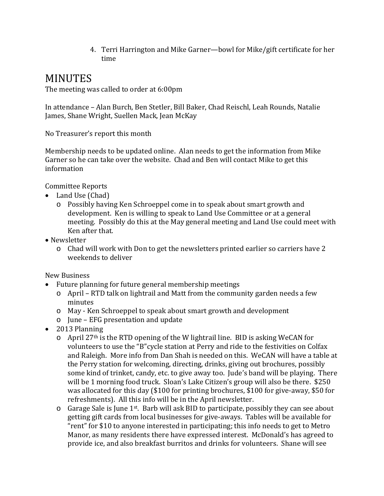4. Terri Harrington and Mike Garner—bowl for Mike/gift certificate for her time

## MINUTES

The meeting was called to order at 6:00pm

In attendance – Alan Burch, Ben Stetler, Bill Baker, Chad Reischl, Leah Rounds, Natalie James, Shane Wright, Suellen Mack, Jean McKay

No Treasurer's report this month

Membership needs to be updated online. Alan needs to get the information from Mike Garner so he can take over the website. Chad and Ben will contact Mike to get this information

Committee Reports

- Land Use (Chad)
	- o Possibly having Ken Schroeppel come in to speak about smart growth and development. Ken is willing to speak to Land Use Committee or at a general meeting. Possibly do this at the May general meeting and Land Use could meet with Ken after that.
- Newsletter
	- o Chad will work with Don to get the newsletters printed earlier so carriers have 2 weekends to deliver

New Business

- Future planning for future general membership meetings
	- o April RTD talk on lightrail and Matt from the community garden needs a few minutes
	- o May Ken Schroeppel to speak about smart growth and development
	- o June EFG presentation and update
- 2013 Planning
	- o April 27th is the RTD opening of the W lightrail line. BID is asking WeCAN for volunteers to use the "B"cycle station at Perry and ride to the festivities on Colfax and Raleigh. More info from Dan Shah is needed on this. WeCAN will have a table at the Perry station for welcoming, directing, drinks, giving out brochures, possibly some kind of trinket, candy, etc. to give away too. Jude's band will be playing. There will be 1 morning food truck. Sloan's Lake Citizen's group will also be there. \$250 was allocated for this day (\$100 for printing brochures, \$100 for give-away, \$50 for refreshments). All this info will be in the April newsletter.
	- o Garage Sale is June 1st. Barb will ask BID to participate, possibly they can see about getting gift cards from local businesses for give-aways. Tables will be available for "rent" for \$10 to anyone interested in participating; this info needs to get to Metro Manor, as many residents there have expressed interest. McDonald's has agreed to provide ice, and also breakfast burritos and drinks for volunteers. Shane will see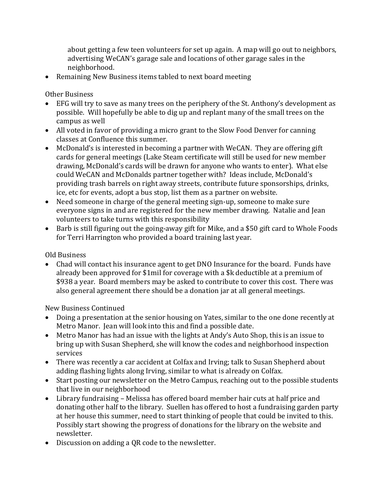about getting a few teen volunteers for set up again. A map will go out to neighbors, advertising WeCAN's garage sale and locations of other garage sales in the neighborhood.

• Remaining New Business items tabled to next board meeting

Other Business

- EFG will try to save as many trees on the periphery of the St. Anthony's development as possible. Will hopefully be able to dig up and replant many of the small trees on the campus as well
- All voted in favor of providing a micro grant to the Slow Food Denver for canning classes at Confluence this summer.
- McDonald's is interested in becoming a partner with WeCAN. They are offering gift cards for general meetings (Lake Steam certificate will still be used for new member drawing, McDonald's cards will be drawn for anyone who wants to enter). What else could WeCAN and McDonalds partner together with? Ideas include, McDonald's providing trash barrels on right away streets, contribute future sponsorships, drinks, ice, etc for events, adopt a bus stop, list them as a partner on website.
- Need someone in charge of the general meeting sign-up, someone to make sure everyone signs in and are registered for the new member drawing. Natalie and Jean volunteers to take turns with this responsibility
- Barb is still figuring out the going-away gift for Mike, and a \$50 gift card to Whole Foods for Terri Harrington who provided a board training last year.

Old Business

• Chad will contact his insurance agent to get DNO Insurance for the board. Funds have already been approved for \$1mil for coverage with a \$k deductible at a premium of \$938 a year. Board members may be asked to contribute to cover this cost. There was also general agreement there should be a donation jar at all general meetings.

New Business Continued

- Doing a presentation at the senior housing on Yates, similar to the one done recently at Metro Manor. Jean will look into this and find a possible date.
- Metro Manor has had an issue with the lights at Andy's Auto Shop, this is an issue to bring up with Susan Shepherd, she will know the codes and neighborhood inspection services
- There was recently a car accident at Colfax and Irving; talk to Susan Shepherd about adding flashing lights along Irving, similar to what is already on Colfax.
- Start posting our newsletter on the Metro Campus, reaching out to the possible students that live in our neighborhood
- Library fundraising Melissa has offered board member hair cuts at half price and donating other half to the library. Suellen has offered to host a fundraising garden party at her house this summer, need to start thinking of people that could be invited to this. Possibly start showing the progress of donations for the library on the website and newsletter.
- Discussion on adding a QR code to the newsletter.